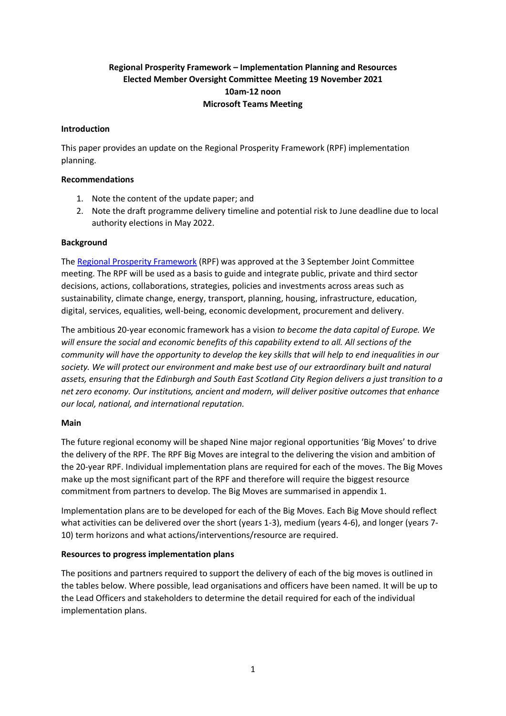# **Regional Prosperity Framework – Implementation Planning and Resources Elected Member Oversight Committee Meeting 19 November 2021 10am-12 noon Microsoft Teams Meeting**

### **Introduction**

This paper provides an update on the Regional Prosperity Framework (RPF) implementation planning.

### **Recommendations**

- 1. Note the content of the update paper; and
- 2. Note the draft programme delivery timeline and potential risk to June deadline due to local authority elections in May 2022.

### **Background**

The [Regional Prosperity Framework](https://democracy.edinburgh.gov.uk/documents/s36808/Item%205.4%20-%20RPF%20and%20app.pdf) (RPF) was approved at the 3 September Joint Committee meeting. The RPF will be used as a basis to guide and integrate public, private and third sector decisions, actions, collaborations, strategies, policies and investments across areas such as sustainability, climate change, energy, transport, planning, housing, infrastructure, education, digital, services, equalities, well-being, economic development, procurement and delivery.

The ambitious 20-year economic framework has a vision *to become the data capital of Europe. We will ensure the social and economic benefits of this capability extend to all. All sections of the community will have the opportunity to develop the key skills that will help to end inequalities in our society. We will protect our environment and make best use of our extraordinary built and natural assets, ensuring that the Edinburgh and South East Scotland City Region delivers a just transition to a net zero economy. Our institutions, ancient and modern, will deliver positive outcomes that enhance our local, national, and international reputation.*

# **Main**

The future regional economy will be shaped Nine major regional opportunities 'Big Moves' to drive the delivery of the RPF. The RPF Big Moves are integral to the delivering the vision and ambition of the 20-year RPF. Individual implementation plans are required for each of the moves. The Big Moves make up the most significant part of the RPF and therefore will require the biggest resource commitment from partners to develop. The Big Moves are summarised in appendix 1.

Implementation plans are to be developed for each of the Big Moves. Each Big Move should reflect what activities can be delivered over the short (years 1-3), medium (years 4-6), and longer (years 7- 10) term horizons and what actions/interventions/resource are required.

# **Resources to progress implementation plans**

The positions and partners required to support the delivery of each of the big moves is outlined in the tables below. Where possible, lead organisations and officers have been named. It will be up to the Lead Officers and stakeholders to determine the detail required for each of the individual implementation plans.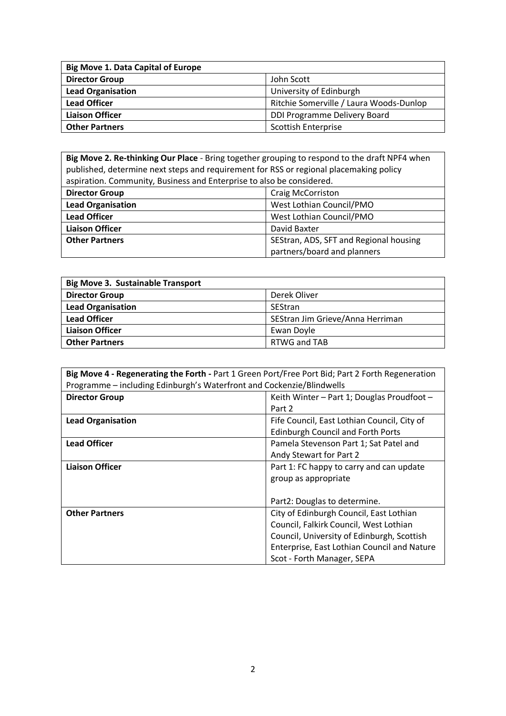| <b>Big Move 1. Data Capital of Europe</b> |                                         |  |  |  |
|-------------------------------------------|-----------------------------------------|--|--|--|
| <b>Director Group</b>                     | John Scott                              |  |  |  |
| <b>Lead Organisation</b>                  | University of Edinburgh                 |  |  |  |
| <b>Lead Officer</b>                       | Ritchie Somerville / Laura Woods-Dunlop |  |  |  |
| <b>Liaison Officer</b>                    | DDI Programme Delivery Board            |  |  |  |
| <b>Other Partners</b>                     | <b>Scottish Enterprise</b>              |  |  |  |

**Big Move 2. Re-thinking Our Place** - Bring together grouping to respond to the draft NPF4 when published, determine next steps and requirement for RSS or regional placemaking policy aspiration. Community, Business and Enterprise to also be considered.

| <b>Director Group</b>                                           | <b>Craig McCorriston</b>    |  |  |
|-----------------------------------------------------------------|-----------------------------|--|--|
| <b>Lead Organisation</b>                                        | West Lothian Council/PMO    |  |  |
| <b>Lead Officer</b>                                             | West Lothian Council/PMO    |  |  |
| <b>Liaison Officer</b>                                          | David Baxter                |  |  |
| <b>Other Partners</b><br>SEStran, ADS, SFT and Regional housing |                             |  |  |
|                                                                 | partners/board and planners |  |  |

| <b>Big Move 3. Sustainable Transport</b> |                                  |  |  |  |
|------------------------------------------|----------------------------------|--|--|--|
| <b>Director Group</b>                    | Derek Oliver                     |  |  |  |
| <b>Lead Organisation</b>                 | SEStran                          |  |  |  |
| <b>Lead Officer</b>                      | SEStran Jim Grieve/Anna Herriman |  |  |  |
| <b>Liaison Officer</b>                   | Ewan Doyle                       |  |  |  |
| <b>Other Partners</b>                    | RTWG and TAB                     |  |  |  |

| Big Move 4 - Regenerating the Forth - Part 1 Green Port/Free Port Bid; Part 2 Forth Regeneration |                                             |  |  |  |
|--------------------------------------------------------------------------------------------------|---------------------------------------------|--|--|--|
| Programme - including Edinburgh's Waterfront and Cockenzie/Blindwells                            |                                             |  |  |  |
| <b>Director Group</b><br>Keith Winter - Part 1; Douglas Proudfoot -                              |                                             |  |  |  |
|                                                                                                  | Part 2                                      |  |  |  |
| <b>Lead Organisation</b>                                                                         | Fife Council, East Lothian Council, City of |  |  |  |
|                                                                                                  | <b>Edinburgh Council and Forth Ports</b>    |  |  |  |
| <b>Lead Officer</b>                                                                              | Pamela Stevenson Part 1; Sat Patel and      |  |  |  |
|                                                                                                  | Andy Stewart for Part 2                     |  |  |  |
| <b>Liaison Officer</b>                                                                           | Part 1: FC happy to carry and can update    |  |  |  |
|                                                                                                  | group as appropriate                        |  |  |  |
|                                                                                                  |                                             |  |  |  |
| Part2: Douglas to determine.                                                                     |                                             |  |  |  |
| <b>Other Partners</b>                                                                            | City of Edinburgh Council, East Lothian     |  |  |  |
|                                                                                                  | Council, Falkirk Council, West Lothian      |  |  |  |
|                                                                                                  | Council, University of Edinburgh, Scottish  |  |  |  |
|                                                                                                  | Enterprise, East Lothian Council and Nature |  |  |  |
|                                                                                                  | Scot - Forth Manager, SEPA                  |  |  |  |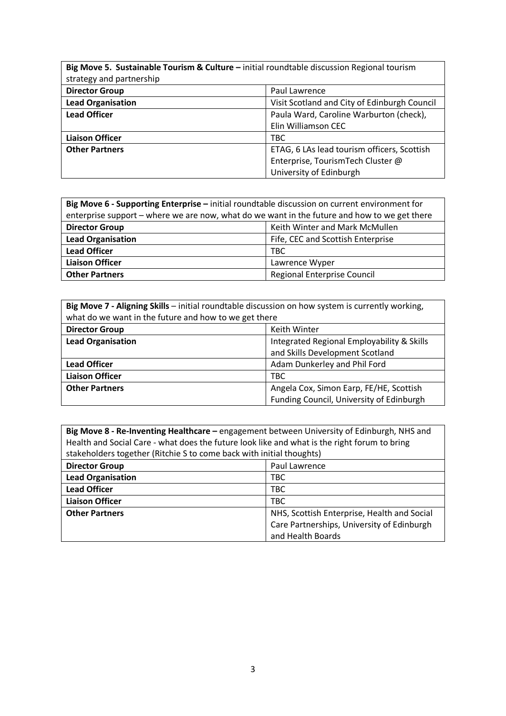| Big Move 5. Sustainable Tourism & Culture - initial roundtable discussion Regional tourism<br>strategy and partnership |                                              |  |  |  |
|------------------------------------------------------------------------------------------------------------------------|----------------------------------------------|--|--|--|
| <b>Director Group</b>                                                                                                  | Paul Lawrence                                |  |  |  |
| <b>Lead Organisation</b>                                                                                               | Visit Scotland and City of Edinburgh Council |  |  |  |
| <b>Lead Officer</b>                                                                                                    | Paula Ward, Caroline Warburton (check),      |  |  |  |
|                                                                                                                        | Elin Williamson CEC                          |  |  |  |
| <b>Liaison Officer</b>                                                                                                 | TBC                                          |  |  |  |
| <b>Other Partners</b>                                                                                                  | ETAG, 6 LAs lead tourism officers, Scottish  |  |  |  |
|                                                                                                                        | Enterprise, TourismTech Cluster @            |  |  |  |
|                                                                                                                        | University of Edinburgh                      |  |  |  |

| Big Move 6 - Supporting Enterprise - initial roundtable discussion on current environment for |  |  |  |  |
|-----------------------------------------------------------------------------------------------|--|--|--|--|
| enterprise support – where we are now, what do we want in the future and how to we get there  |  |  |  |  |
| Keith Winter and Mark McMullen<br><b>Director Group</b>                                       |  |  |  |  |
| <b>Lead Organisation</b><br>Fife, CEC and Scottish Enterprise                                 |  |  |  |  |
| <b>Lead Officer</b><br>TBC.                                                                   |  |  |  |  |
| <b>Liaison Officer</b><br>Lawrence Wyper                                                      |  |  |  |  |
| Regional Enterprise Council<br><b>Other Partners</b>                                          |  |  |  |  |

| Big Move 7 - Aligning Skills - initial roundtable discussion on how system is currently working,<br>what do we want in the future and how to we get there |                                                                                     |  |  |  |
|-----------------------------------------------------------------------------------------------------------------------------------------------------------|-------------------------------------------------------------------------------------|--|--|--|
| <b>Director Group</b><br>Keith Winter                                                                                                                     |                                                                                     |  |  |  |
| <b>Lead Organisation</b>                                                                                                                                  | Integrated Regional Employability & Skills<br>and Skills Development Scotland       |  |  |  |
| Adam Dunkerley and Phil Ford<br><b>Lead Officer</b>                                                                                                       |                                                                                     |  |  |  |
| <b>Liaison Officer</b><br>TBC                                                                                                                             |                                                                                     |  |  |  |
| <b>Other Partners</b>                                                                                                                                     | Angela Cox, Simon Earp, FE/HE, Scottish<br>Funding Council, University of Edinburgh |  |  |  |

**Big Move 8 - Re-Inventing Healthcare –** engagement between University of Edinburgh, NHS and Health and Social Care - what does the future look like and what is the right forum to bring stakeholders together (Ritchie S to come back with initial thoughts)

| <b>Director Group</b>    | Paul Lawrence                               |
|--------------------------|---------------------------------------------|
| <b>Lead Organisation</b> | TBC                                         |
| <b>Lead Officer</b>      | <b>TBC</b>                                  |
| <b>Liaison Officer</b>   | <b>TBC</b>                                  |
| <b>Other Partners</b>    | NHS, Scottish Enterprise, Health and Social |
|                          | Care Partnerships, University of Edinburgh  |
|                          | and Health Boards                           |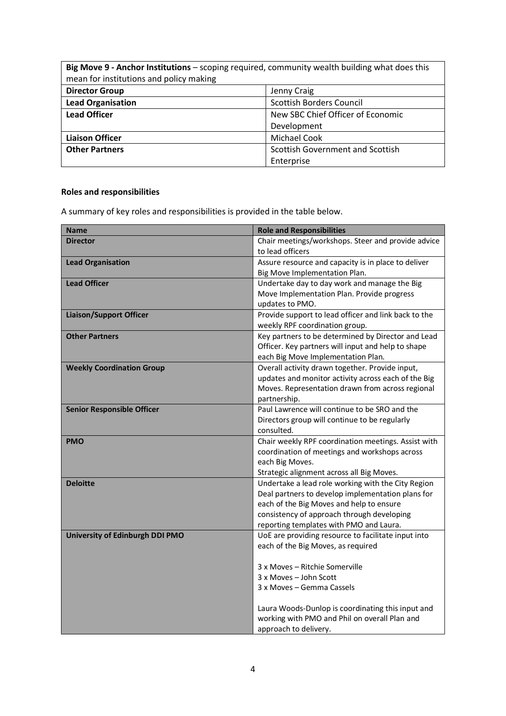| Big Move 9 - Anchor Institutions - scoping required, community wealth building what does this<br>mean for institutions and policy making |                                   |  |  |  |
|------------------------------------------------------------------------------------------------------------------------------------------|-----------------------------------|--|--|--|
| <b>Director Group</b><br>Jenny Craig                                                                                                     |                                   |  |  |  |
| <b>Lead Organisation</b><br><b>Scottish Borders Council</b>                                                                              |                                   |  |  |  |
| <b>Lead Officer</b>                                                                                                                      | New SBC Chief Officer of Economic |  |  |  |
| Development                                                                                                                              |                                   |  |  |  |
| <b>Michael Cook</b><br><b>Liaison Officer</b>                                                                                            |                                   |  |  |  |
| <b>Other Partners</b><br>Scottish Government and Scottish                                                                                |                                   |  |  |  |
| Enterprise                                                                                                                               |                                   |  |  |  |

# **Roles and responsibilities**

A summary of key roles and responsibilities is provided in the table below.

| <b>Name</b>                       | <b>Role and Responsibilities</b>                     |
|-----------------------------------|------------------------------------------------------|
| Director                          | Chair meetings/workshops. Steer and provide advice   |
|                                   | to lead officers                                     |
| <b>Lead Organisation</b>          | Assure resource and capacity is in place to deliver  |
|                                   | Big Move Implementation Plan.                        |
| <b>Lead Officer</b>               | Undertake day to day work and manage the Big         |
|                                   | Move Implementation Plan. Provide progress           |
|                                   | updates to PMO.                                      |
| <b>Liaison/Support Officer</b>    | Provide support to lead officer and link back to the |
|                                   | weekly RPF coordination group.                       |
| <b>Other Partners</b>             | Key partners to be determined by Director and Lead   |
|                                   | Officer. Key partners will input and help to shape   |
|                                   | each Big Move Implementation Plan.                   |
| <b>Weekly Coordination Group</b>  | Overall activity drawn together. Provide input,      |
|                                   | updates and monitor activity across each of the Big  |
|                                   | Moves. Representation drawn from across regional     |
|                                   | partnership.                                         |
| <b>Senior Responsible Officer</b> | Paul Lawrence will continue to be SRO and the        |
|                                   | Directors group will continue to be regularly        |
|                                   | consulted.                                           |
| <b>PMO</b>                        | Chair weekly RPF coordination meetings. Assist with  |
|                                   | coordination of meetings and workshops across        |
|                                   | each Big Moves.                                      |
|                                   | Strategic alignment across all Big Moves.            |
| <b>Deloitte</b>                   | Undertake a lead role working with the City Region   |
|                                   | Deal partners to develop implementation plans for    |
|                                   | each of the Big Moves and help to ensure             |
|                                   | consistency of approach through developing           |
|                                   | reporting templates with PMO and Laura.              |
| University of Edinburgh DDI PMO   | UoE are providing resource to facilitate input into  |
|                                   | each of the Big Moves, as required                   |
|                                   |                                                      |
|                                   | 3 x Moves - Ritchie Somerville                       |
|                                   | 3 x Moves - John Scott                               |
|                                   | 3 x Moves – Gemma Cassels                            |
|                                   |                                                      |
|                                   | Laura Woods-Dunlop is coordinating this input and    |
|                                   | working with PMO and Phil on overall Plan and        |
|                                   | approach to delivery.                                |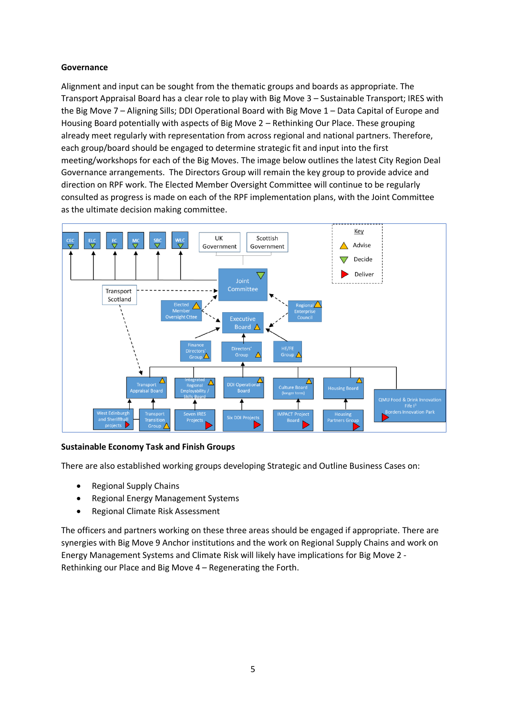# **Governance**

Alignment and input can be sought from the thematic groups and boards as appropriate. The Transport Appraisal Board has a clear role to play with Big Move 3 – Sustainable Transport; IRES with the Big Move 7 – Aligning Sills; DDI Operational Board with Big Move 1 – Data Capital of Europe and Housing Board potentially with aspects of Big Move 2 – Rethinking Our Place. These grouping already meet regularly with representation from across regional and national partners. Therefore, each group/board should be engaged to determine strategic fit and input into the first meeting/workshops for each of the Big Moves. The image below outlines the latest City Region Deal Governance arrangements. The Directors Group will remain the key group to provide advice and direction on RPF work. The Elected Member Oversight Committee will continue to be regularly consulted as progress is made on each of the RPF implementation plans, with the Joint Committee as the ultimate decision making committee.



# **Sustainable Economy Task and Finish Groups**

There are also established working groups developing Strategic and Outline Business Cases on:

- Regional Supply Chains
- Regional Energy Management Systems
- Regional Climate Risk Assessment

The officers and partners working on these three areas should be engaged if appropriate. There are synergies with Big Move 9 Anchor institutions and the work on Regional Supply Chains and work on Energy Management Systems and Climate Risk will likely have implications for Big Move 2 - Rethinking our Place and Big Move 4 – Regenerating the Forth.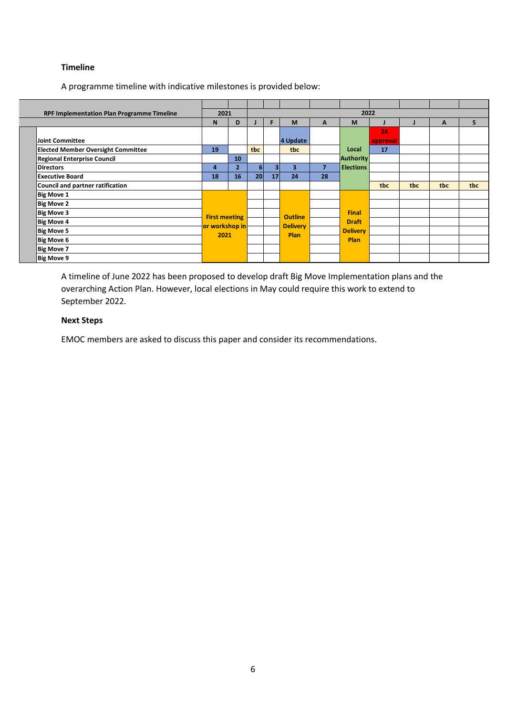#### **Timeline**

A programme timeline with indicative milestones is provided below:

| RPF Implementation Plan Programme Timeline |                        | 2022<br>2021    |                |    |                         |                |                  |                 |     |              |     |  |  |  |
|--------------------------------------------|------------------------|-----------------|----------------|----|-------------------------|----------------|------------------|-----------------|-----|--------------|-----|--|--|--|
|                                            | N                      | D               |                | F  | M                       | A              | M                |                 |     | A            | S   |  |  |  |
|                                            |                        |                 |                |    |                         |                |                  | 24              |     |              |     |  |  |  |
| Joint Committee                            |                        |                 |                |    | 4 Update                |                |                  | approval        |     |              |     |  |  |  |
| <b>Elected Member Oversight Committee</b>  | 19                     |                 | tbc            |    | tbc                     |                | Local            | 17              |     |              |     |  |  |  |
| Regional Enterprise Council                |                        | 10 <sup>°</sup> |                |    |                         |                | <b>Authority</b> |                 |     |              |     |  |  |  |
| <b>Directors</b>                           | 4                      | $\overline{2}$  | 6 <sup>1</sup> | з  | $\overline{\mathbf{3}}$ | $\overline{7}$ | <b>Elections</b> |                 |     |              |     |  |  |  |
| Executive Board                            | 18                     | 16              | 20             | 17 | 24                      | 28             |                  |                 |     |              |     |  |  |  |
| Council and partner ratification           |                        |                 |                |    |                         |                |                  | tbc             | tbc | tbc          | tbc |  |  |  |
| Big Move 1                                 |                        |                 |                |    |                         |                |                  |                 |     |              |     |  |  |  |
| Big Move 2                                 |                        |                 |                |    |                         |                |                  |                 |     |              |     |  |  |  |
| Big Move 3                                 |                        |                 |                |    | <b>Outline</b>          |                | <b>Final</b>     |                 |     |              |     |  |  |  |
| Big Move 4                                 | <b>First meeting</b>   |                 |                |    |                         |                |                  | <b>Delivery</b> |     | <b>Draft</b> |     |  |  |  |
| Big Move 5                                 | or workshop in<br>2021 |                 |                |    |                         |                | <b>Delivery</b>  |                 |     |              |     |  |  |  |
| Big Move 6                                 |                        |                 |                |    | <b>Plan</b>             |                | <b>Plan</b>      |                 |     |              |     |  |  |  |
| Big Move 7                                 |                        |                 |                |    |                         |                |                  |                 |     |              |     |  |  |  |
| Big Move 9                                 |                        |                 |                |    |                         |                |                  |                 |     |              |     |  |  |  |

A timeline of June 2022 has been proposed to develop draft Big Move Implementation plans and the overarching Action Plan. However, local elections in May could require this work to extend to September 2022.

### **Next Steps**

EMOC members are asked to discuss this paper and consider its recommendations.